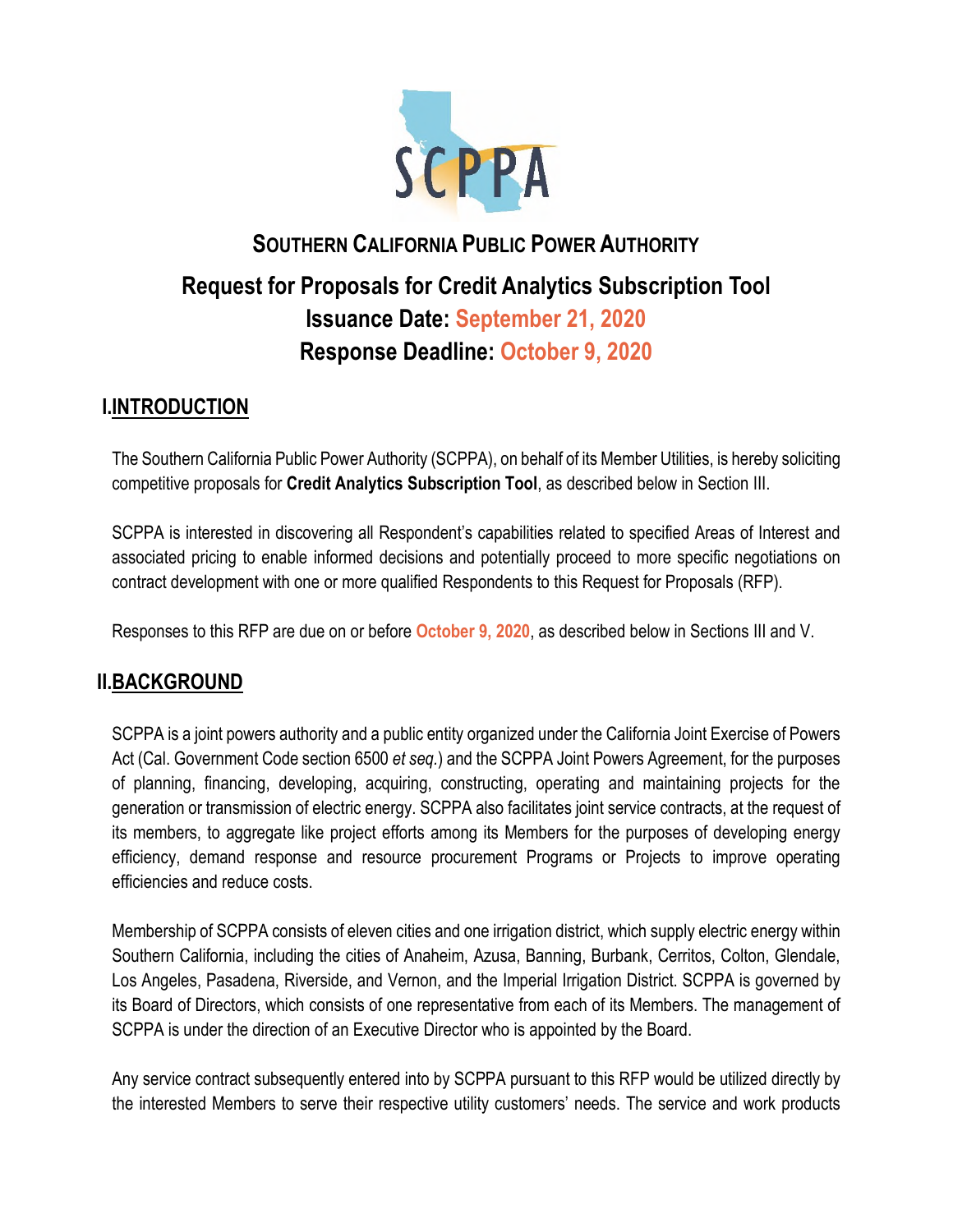

# **SOUTHERN CALIFORNIA PUBLIC POWER AUTHORITY Request for Proposals for Credit Analytics Subscription Tool Issuance Date: September 21, 2020 Response Deadline: October 9, 2020**

# **I.INTRODUCTION**

The Southern California Public Power Authority (SCPPA), on behalf of its Member Utilities, is hereby soliciting competitive proposals for **Credit Analytics Subscription Tool**, as described below in Section III.

SCPPA is interested in discovering all Respondent's capabilities related to specified Areas of Interest and associated pricing to enable informed decisions and potentially proceed to more specific negotiations on contract development with one or more qualified Respondents to this Request for Proposals (RFP).

Responses to this RFP are due on or before **October 9, 2020**, as described below in Sections III and V.

# **II.BACKGROUND**

SCPPA is a joint powers authority and a public entity organized under the California Joint Exercise of Powers Act (Cal. Government Code section 6500 *et seq.*) and the SCPPA Joint Powers Agreement, for the purposes of planning, financing, developing, acquiring, constructing, operating and maintaining projects for the generation or transmission of electric energy. SCPPA also facilitates joint service contracts, at the request of its members, to aggregate like project efforts among its Members for the purposes of developing energy efficiency, demand response and resource procurement Programs or Projects to improve operating efficiencies and reduce costs.

Membership of SCPPA consists of eleven cities and one irrigation district, which supply electric energy within Southern California, including the cities of Anaheim, Azusa, Banning, Burbank, Cerritos, Colton, Glendale, Los Angeles, Pasadena, Riverside, and Vernon, and the Imperial Irrigation District. SCPPA is governed by its Board of Directors, which consists of one representative from each of its Members. The management of SCPPA is under the direction of an Executive Director who is appointed by the Board.

Any service contract subsequently entered into by SCPPA pursuant to this RFP would be utilized directly by the interested Members to serve their respective utility customers' needs. The service and work products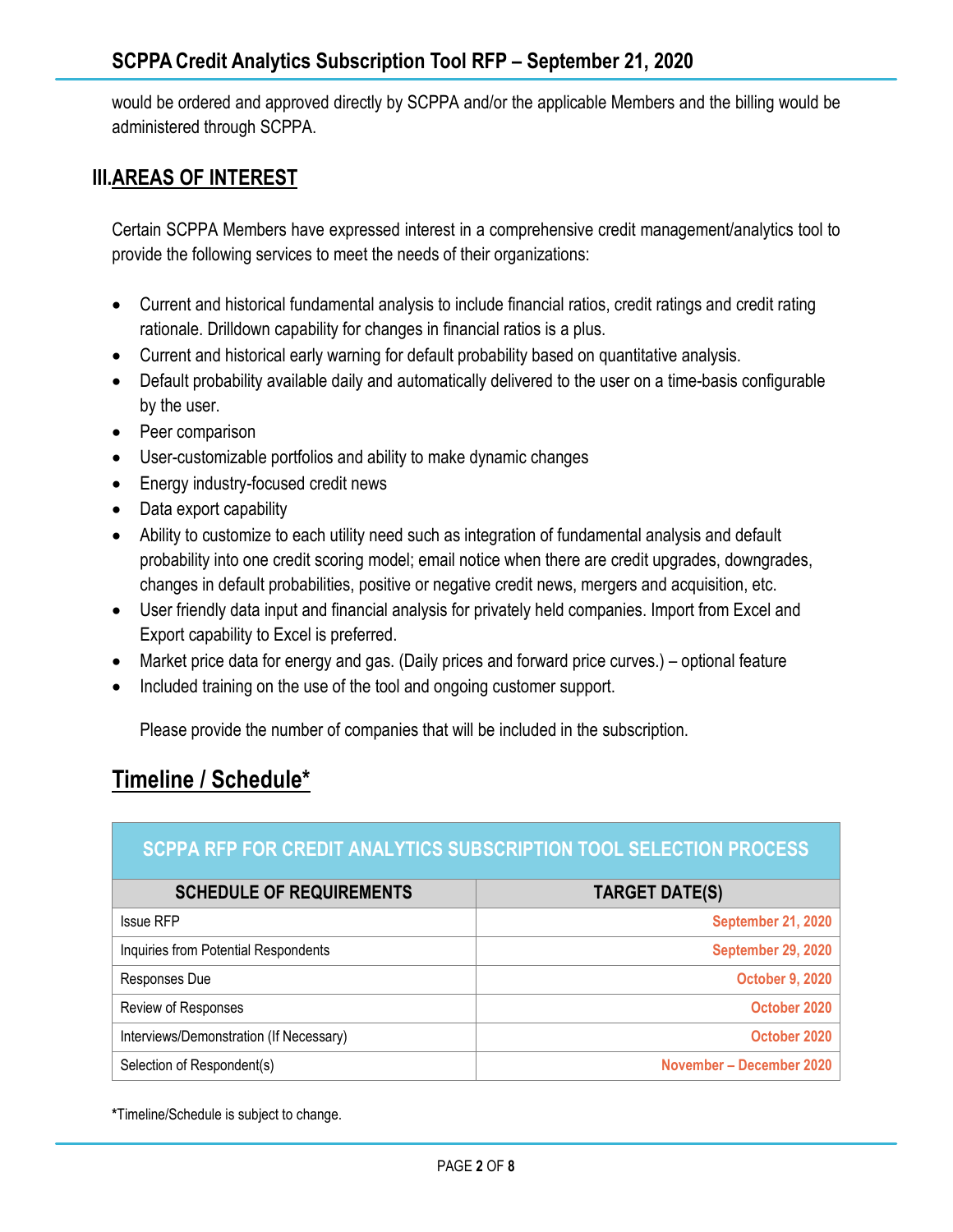would be ordered and approved directly by SCPPA and/or the applicable Members and the billing would be administered through SCPPA.

# **III.AREAS OF INTEREST**

Certain SCPPA Members have expressed interest in a comprehensive credit management/analytics tool to provide the following services to meet the needs of their organizations:

- Current and historical fundamental analysis to include financial ratios, credit ratings and credit rating rationale. Drilldown capability for changes in financial ratios is a plus.
- Current and historical early warning for default probability based on quantitative analysis.
- Default probability available daily and automatically delivered to the user on a time-basis configurable by the user.
- Peer comparison
- User-customizable portfolios and ability to make dynamic changes
- Energy industry-focused credit news
- Data export capability
- Ability to customize to each utility need such as integration of fundamental analysis and default probability into one credit scoring model; email notice when there are credit upgrades, downgrades, changes in default probabilities, positive or negative credit news, mergers and acquisition, etc.
- User friendly data input and financial analysis for privately held companies. Import from Excel and Export capability to Excel is preferred.
- Market price data for energy and gas. (Daily prices and forward price curves.) optional feature
- Included training on the use of the tool and ongoing customer support.

Please provide the number of companies that will be included in the subscription.

# **Timeline / Schedule\***

#### **SCPPA RFP FOR CREDIT ANALYTICS SUBSCRIPTION TOOL SELECTION PROCESS**

| <b>SCHEDULE OF REQUIREMENTS</b>         | <b>TARGET DATE(S)</b>           |
|-----------------------------------------|---------------------------------|
| <b>Issue RFP</b>                        | <b>September 21, 2020</b>       |
| Inquiries from Potential Respondents    | <b>September 29, 2020</b>       |
| Responses Due                           | <b>October 9, 2020</b>          |
| Review of Responses                     | October 2020                    |
| Interviews/Demonstration (If Necessary) | October 2020                    |
| Selection of Respondent(s)              | <b>November - December 2020</b> |

**\***Timeline/Schedule is subject to change.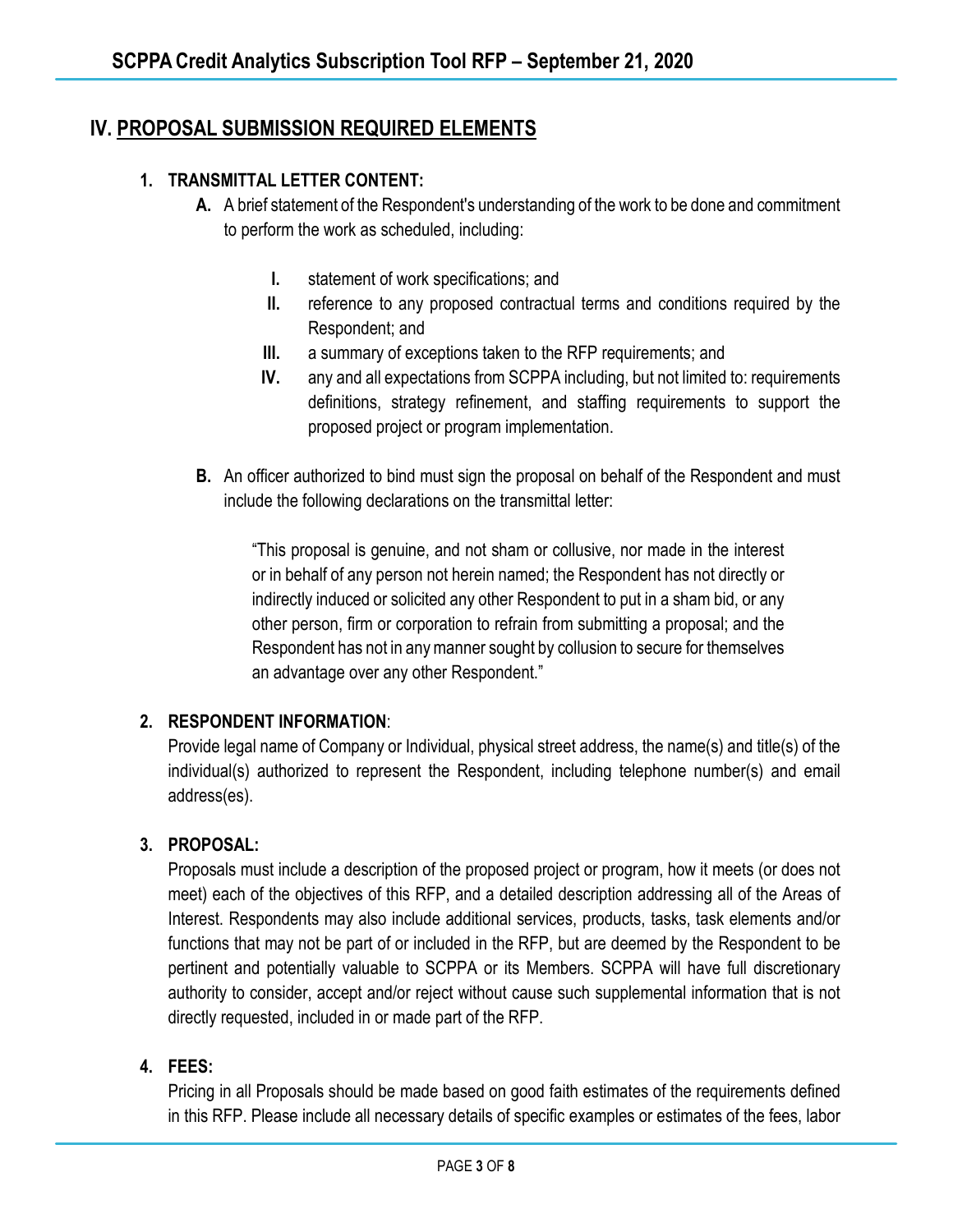## **IV. PROPOSAL SUBMISSION REQUIRED ELEMENTS**

#### **1. TRANSMITTAL LETTER CONTENT:**

- **A.** A brief statement of the Respondent's understanding of the work to be done and commitment to perform the work as scheduled, including:
	- **I.** statement of work specifications; and
	- **II.** reference to any proposed contractual terms and conditions required by the Respondent; and
	- **III.** a summary of exceptions taken to the RFP requirements; and
	- **IV.** any and all expectations from SCPPA including, but not limited to: requirements definitions, strategy refinement, and staffing requirements to support the proposed project or program implementation.
- **B.** An officer authorized to bind must sign the proposal on behalf of the Respondent and must include the following declarations on the transmittal letter:

"This proposal is genuine, and not sham or collusive, nor made in the interest or in behalf of any person not herein named; the Respondent has not directly or indirectly induced or solicited any other Respondent to put in a sham bid, or any other person, firm or corporation to refrain from submitting a proposal; and the Respondent has not in any manner sought by collusion to secure for themselves an advantage over any other Respondent."

#### **2. RESPONDENT INFORMATION**:

Provide legal name of Company or Individual, physical street address, the name(s) and title(s) of the individual(s) authorized to represent the Respondent, including telephone number(s) and email address(es).

#### **3. PROPOSAL:**

Proposals must include a description of the proposed project or program, how it meets (or does not meet) each of the objectives of this RFP, and a detailed description addressing all of the Areas of Interest. Respondents may also include additional services, products, tasks, task elements and/or functions that may not be part of or included in the RFP, but are deemed by the Respondent to be pertinent and potentially valuable to SCPPA or its Members. SCPPA will have full discretionary authority to consider, accept and/or reject without cause such supplemental information that is not directly requested, included in or made part of the RFP.

#### **4. FEES:**

Pricing in all Proposals should be made based on good faith estimates of the requirements defined in this RFP. Please include all necessary details of specific examples or estimates of the fees, labor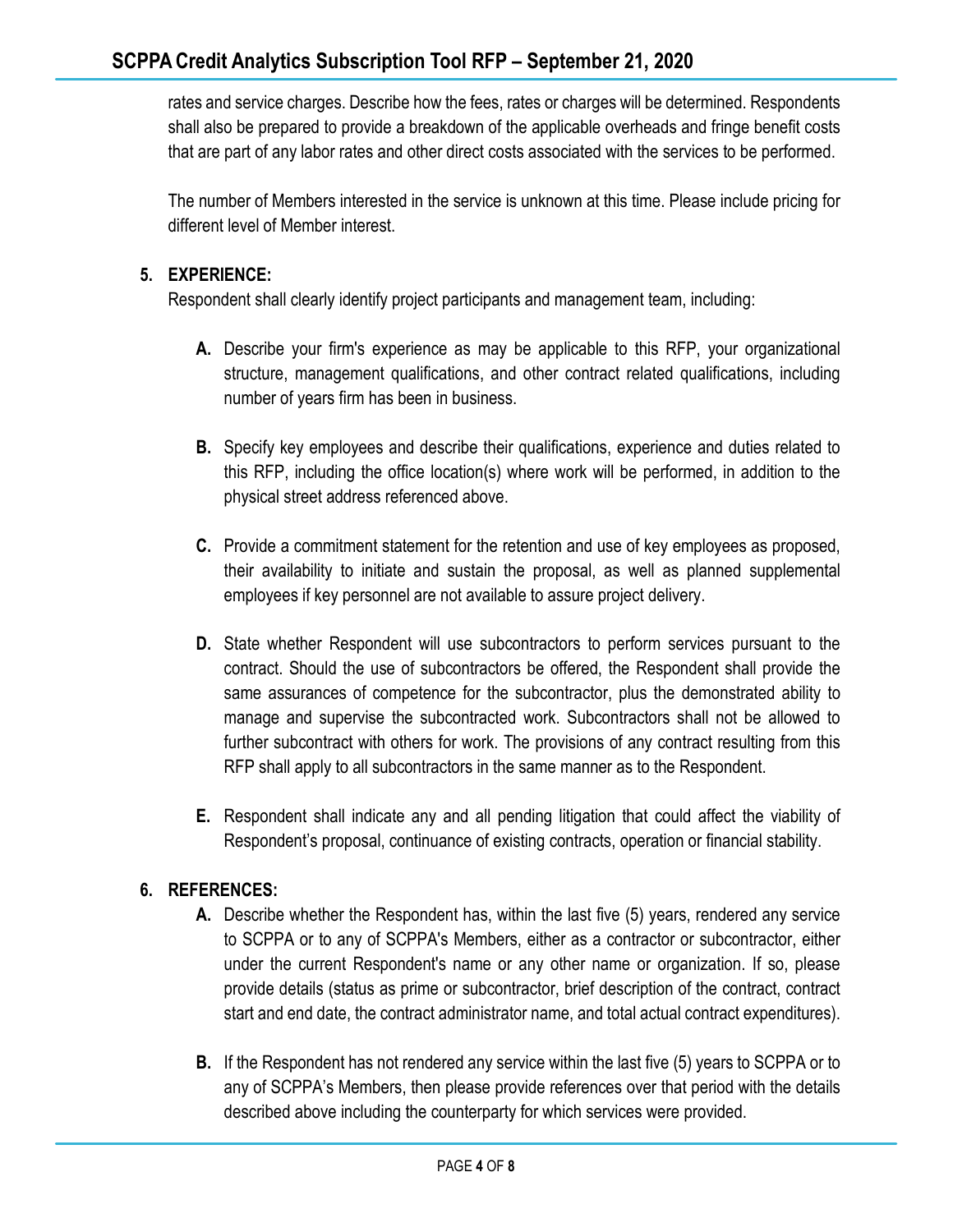rates and service charges. Describe how the fees, rates or charges will be determined. Respondents shall also be prepared to provide a breakdown of the applicable overheads and fringe benefit costs that are part of any labor rates and other direct costs associated with the services to be performed.

The number of Members interested in the service is unknown at this time. Please include pricing for different level of Member interest.

#### **5. EXPERIENCE:**

Respondent shall clearly identify project participants and management team, including:

- **A.** Describe your firm's experience as may be applicable to this RFP, your organizational structure, management qualifications, and other contract related qualifications, including number of years firm has been in business.
- **B.** Specify key employees and describe their qualifications, experience and duties related to this RFP, including the office location(s) where work will be performed, in addition to the physical street address referenced above.
- **C.** Provide a commitment statement for the retention and use of key employees as proposed, their availability to initiate and sustain the proposal, as well as planned supplemental employees if key personnel are not available to assure project delivery.
- **D.** State whether Respondent will use subcontractors to perform services pursuant to the contract. Should the use of subcontractors be offered, the Respondent shall provide the same assurances of competence for the subcontractor, plus the demonstrated ability to manage and supervise the subcontracted work. Subcontractors shall not be allowed to further subcontract with others for work. The provisions of any contract resulting from this RFP shall apply to all subcontractors in the same manner as to the Respondent.
- **E.** Respondent shall indicate any and all pending litigation that could affect the viability of Respondent's proposal, continuance of existing contracts, operation or financial stability.

#### **6. REFERENCES:**

- **A.** Describe whether the Respondent has, within the last five (5) years, rendered any service to SCPPA or to any of SCPPA's Members, either as a contractor or subcontractor, either under the current Respondent's name or any other name or organization. If so, please provide details (status as prime or subcontractor, brief description of the contract, contract start and end date, the contract administrator name, and total actual contract expenditures).
- **B.** If the Respondent has not rendered any service within the last five (5) years to SCPPA or to any of SCPPA's Members, then please provide references over that period with the details described above including the counterparty for which services were provided.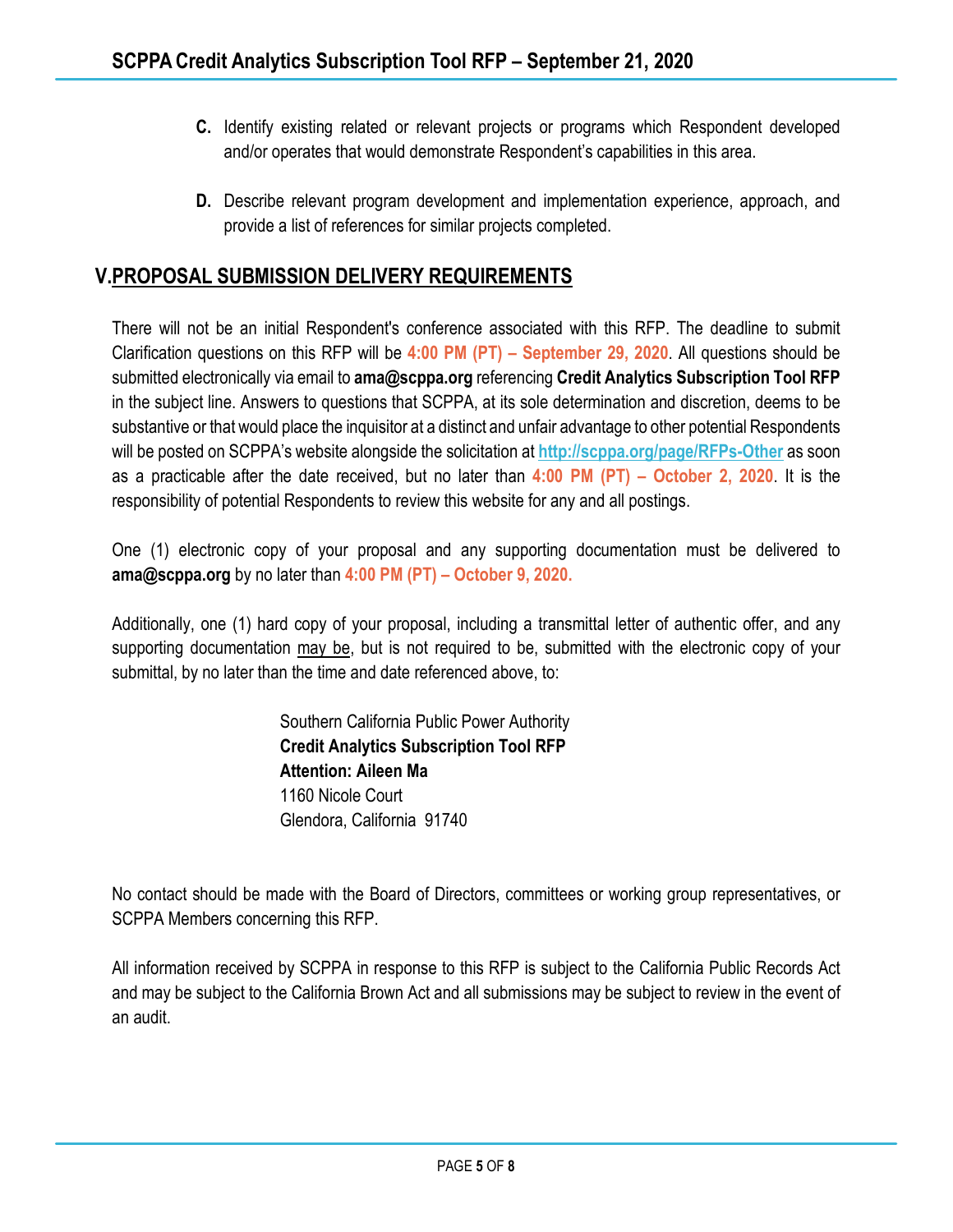- **C.** Identify existing related or relevant projects or programs which Respondent developed and/or operates that would demonstrate Respondent's capabilities in this area.
- **D.** Describe relevant program development and implementation experience, approach, and provide a list of references for similar projects completed.

# **V.PROPOSAL SUBMISSION DELIVERY REQUIREMENTS**

There will not be an initial Respondent's conference associated with this RFP. The deadline to submit Clarification questions on this RFP will be **4:00 PM (PT) – September 29, 2020**. All questions should be submitted electronically via email to **ama@scppa.org** referencing **Credit Analytics Subscription Tool RFP** in the subject line. Answers to questions that SCPPA, at its sole determination and discretion, deems to be substantive or that would place the inquisitor at a distinct and unfair advantage to other potential Respondents will be posted on SCPPA's website alongside the solicitation at **http://scppa.org/page/RFPs-Other** as soon as a practicable after the date received, but no later than **4:00 PM (PT) – October 2, 2020**. It is the responsibility of potential Respondents to review this website for any and all postings.

One (1) electronic copy of your proposal and any supporting documentation must be delivered to **ama@scppa.org** by no later than **4:00 PM (PT) – October 9, 2020.**

Additionally, one (1) hard copy of your proposal, including a transmittal letter of authentic offer, and any supporting documentation may be, but is not required to be, submitted with the electronic copy of your submittal, by no later than the time and date referenced above, to:

> Southern California Public Power Authority **Credit Analytics Subscription Tool RFP Attention: Aileen Ma** 1160 Nicole Court Glendora, California 91740

No contact should be made with the Board of Directors, committees or working group representatives, or SCPPA Members concerning this RFP.

All information received by SCPPA in response to this RFP is subject to the California Public Records Act and may be subject to the California Brown Act and all submissions may be subject to review in the event of an audit.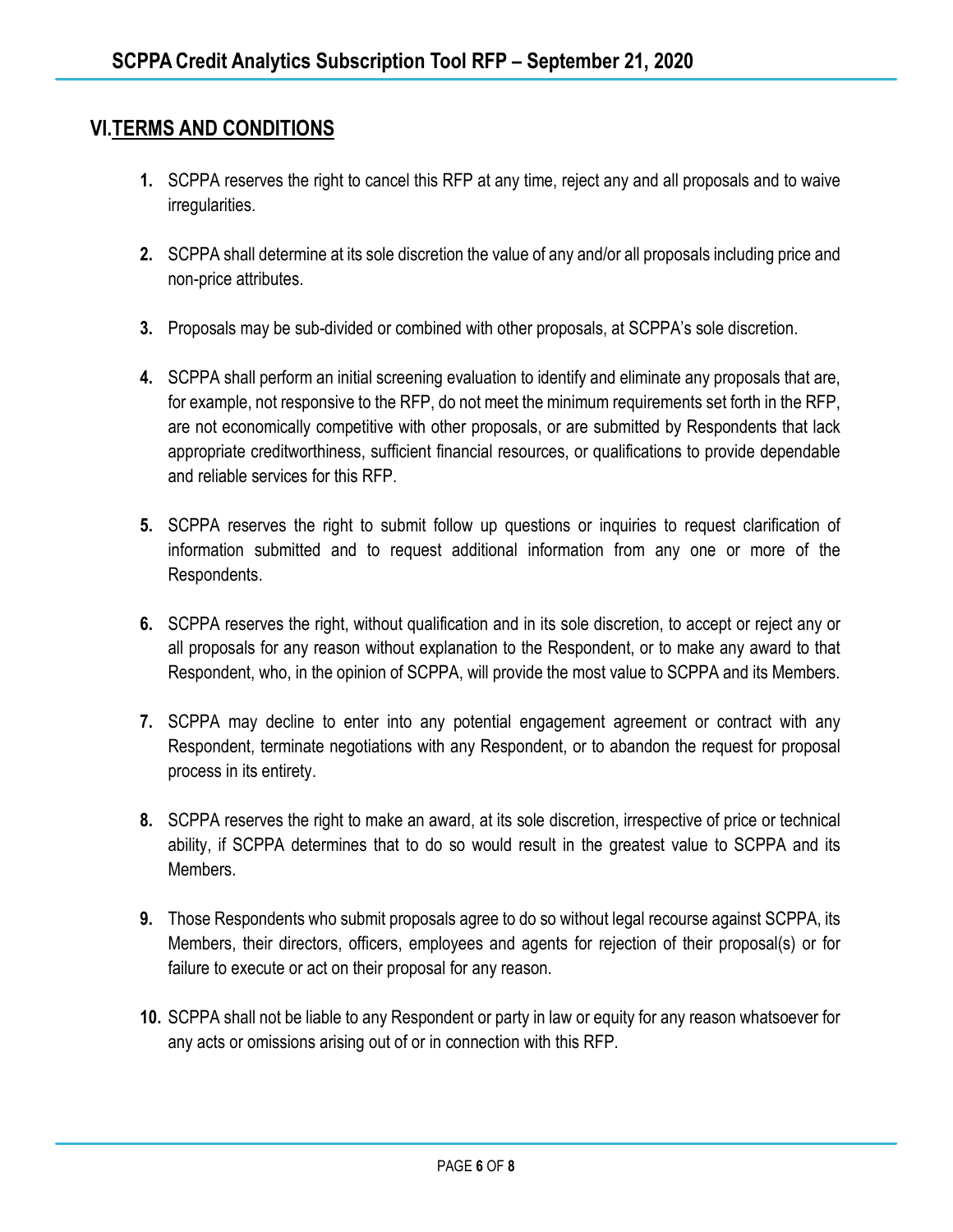# **VI.TERMS AND CONDITIONS**

- **1.** SCPPA reserves the right to cancel this RFP at any time, reject any and all proposals and to waive irregularities.
- **2.** SCPPA shall determine at its sole discretion the value of any and/or all proposals including price and non-price attributes.
- **3.** Proposals may be sub-divided or combined with other proposals, at SCPPA's sole discretion.
- **4.** SCPPA shall perform an initial screening evaluation to identify and eliminate any proposals that are, for example, not responsive to the RFP, do not meet the minimum requirements set forth in the RFP, are not economically competitive with other proposals, or are submitted by Respondents that lack appropriate creditworthiness, sufficient financial resources, or qualifications to provide dependable and reliable services for this RFP.
- **5.** SCPPA reserves the right to submit follow up questions or inquiries to request clarification of information submitted and to request additional information from any one or more of the Respondents.
- **6.** SCPPA reserves the right, without qualification and in its sole discretion, to accept or reject any or all proposals for any reason without explanation to the Respondent, or to make any award to that Respondent, who, in the opinion of SCPPA, will provide the most value to SCPPA and its Members.
- **7.** SCPPA may decline to enter into any potential engagement agreement or contract with any Respondent, terminate negotiations with any Respondent, or to abandon the request for proposal process in its entirety.
- **8.** SCPPA reserves the right to make an award, at its sole discretion, irrespective of price or technical ability, if SCPPA determines that to do so would result in the greatest value to SCPPA and its Members.
- **9.** Those Respondents who submit proposals agree to do so without legal recourse against SCPPA, its Members, their directors, officers, employees and agents for rejection of their proposal(s) or for failure to execute or act on their proposal for any reason.
- **10.** SCPPA shall not be liable to any Respondent or party in law or equity for any reason whatsoever for any acts or omissions arising out of or in connection with this RFP.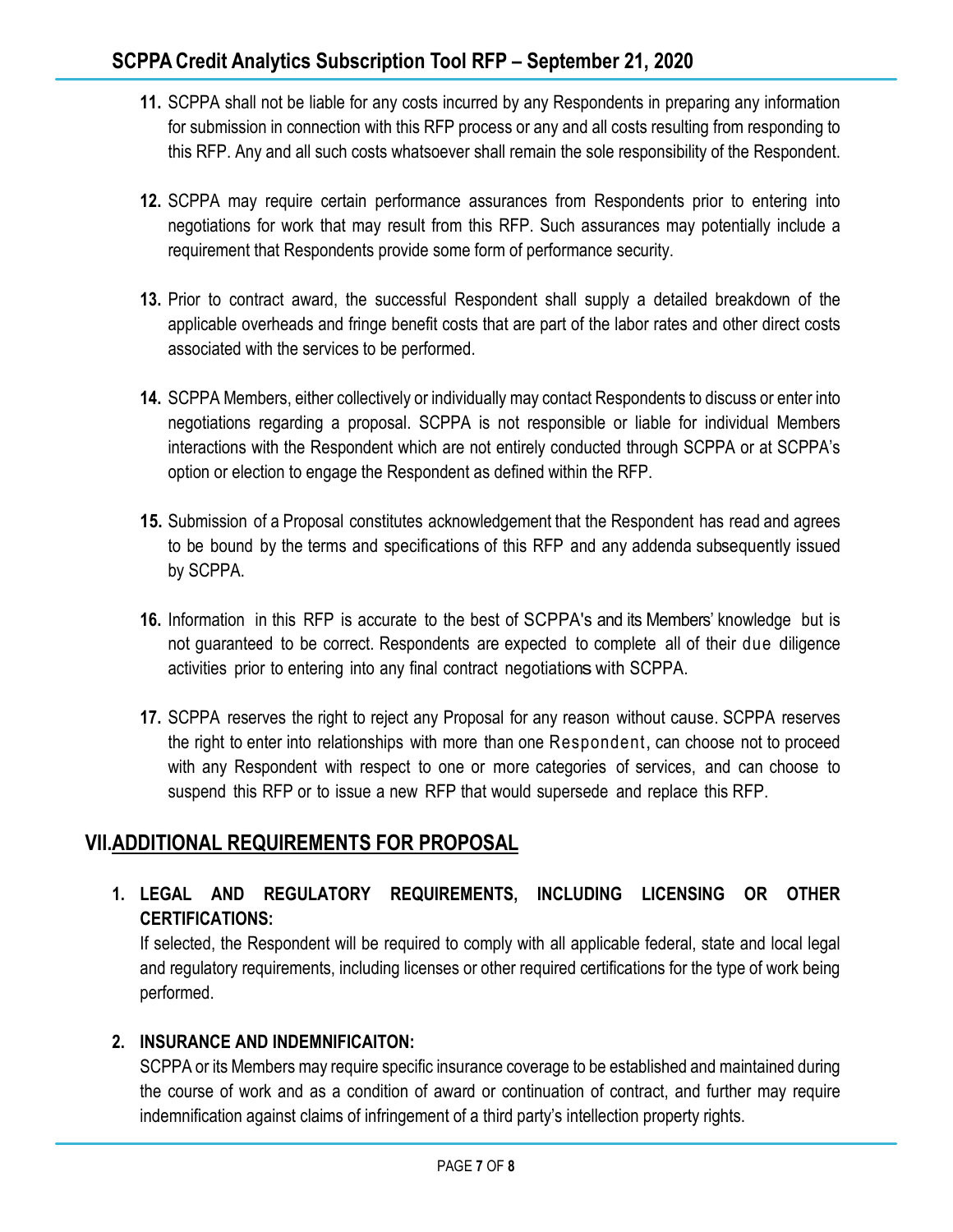- **11.** SCPPA shall not be liable for any costs incurred by any Respondents in preparing any information for submission in connection with this RFP process or any and all costs resulting from responding to this RFP. Any and all such costs whatsoever shall remain the sole responsibility of the Respondent.
- **12.** SCPPA may require certain performance assurances from Respondents prior to entering into negotiations for work that may result from this RFP. Such assurances may potentially include a requirement that Respondents provide some form of performance security.
- **13.** Prior to contract award, the successful Respondent shall supply a detailed breakdown of the applicable overheads and fringe benefit costs that are part of the labor rates and other direct costs associated with the services to be performed.
- **14.** SCPPA Members, either collectively or individually may contact Respondents to discuss or enter into negotiations regarding a proposal. SCPPA is not responsible or liable for individual Members interactions with the Respondent which are not entirely conducted through SCPPA or at SCPPA's option or election to engage the Respondent as defined within the RFP.
- **15.** Submission of a Proposal constitutes acknowledgement that the Respondent has read and agrees to be bound by the terms and specifications of this RFP and any addenda subsequently issued by SCPPA.
- **16.** Information in this RFP is accurate to the best of SCPPA's and its Members' knowledge but is not guaranteed to be correct. Respondents are expected to complete all of their due diligence activities prior to entering into any final contract negotiations with SCPPA.
- **17.** SCPPA reserves the right to reject any Proposal for any reason without cause. SCPPA reserves the right to enter into relationships with more than one Respondent, can choose not to proceed with any Respondent with respect to one or more categories of services, and can choose to suspend this RFP or to issue a new RFP that would supersede and replace this RFP.

# **VII.ADDITIONAL REQUIREMENTS FOR PROPOSAL**

#### **1. LEGAL AND REGULATORY REQUIREMENTS, INCLUDING LICENSING OR OTHER CERTIFICATIONS:**

If selected, the Respondent will be required to comply with all applicable federal, state and local legal and regulatory requirements, including licenses or other required certifications for the type of work being performed.

#### **2. INSURANCE AND INDEMNIFICAITON:**

SCPPA or its Members may require specific insurance coverage to be established and maintained during the course of work and as a condition of award or continuation of contract, and further may require indemnification against claims of infringement of a third party's intellection property rights.